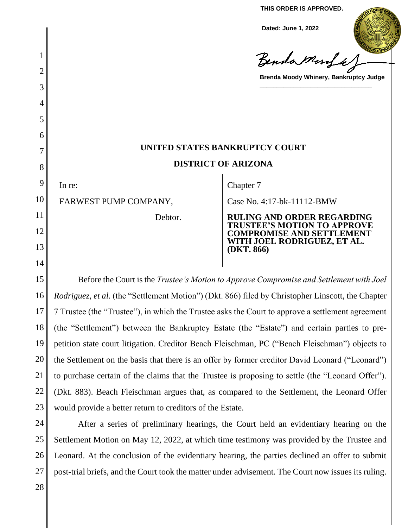**THIS ORDER IS APPROVED.**

**Dated: June 1, 2022**

Benda Murfa

**Brenda Moody Whinery, Bankruptcy Judge**

**\_\_\_\_\_\_\_\_\_\_\_\_\_\_\_\_\_\_\_\_\_\_\_\_\_\_\_\_\_\_\_\_\_**

# **UNITED STATES BANKRUPTCY COURT DISTRICT OF ARIZONA**

9 In re:

1

2

3

4

5

6

7

8

10

11

12

13

14

Chapter 7

FARWEST PUMP COMPANY,

Debtor.

Case No. 4:17-bk-11112-BMW

**RULING AND ORDER REGARDING TRUSTEE'S MOTION TO APPROVE COMPROMISE AND SETTLEMENT WITH JOEL RODRIGUEZ, ET AL. (DKT. 866)**

15 16 17 18 19 20 21 22 23 Before the Court is the *Trustee's Motion to Approve Compromise and Settlement with Joel Rodriguez, et al.* (the "Settlement Motion") (Dkt. 866) filed by Christopher Linscott, the Chapter 7 Trustee (the "Trustee"), in which the Trustee asks the Court to approve a settlement agreement (the "Settlement") between the Bankruptcy Estate (the "Estate") and certain parties to prepetition state court litigation. Creditor Beach Fleischman, PC ("Beach Fleischman") objects to the Settlement on the basis that there is an offer by former creditor David Leonard ("Leonard") to purchase certain of the claims that the Trustee is proposing to settle (the "Leonard Offer"). (Dkt. 883). Beach Fleischman argues that, as compared to the Settlement, the Leonard Offer would provide a better return to creditors of the Estate.

24 25 26 27 After a series of preliminary hearings, the Court held an evidentiary hearing on the Settlement Motion on May 12, 2022, at which time testimony was provided by the Trustee and Leonard. At the conclusion of the evidentiary hearing, the parties declined an offer to submit post-trial briefs, and the Court took the matter under advisement. The Court now issues its ruling.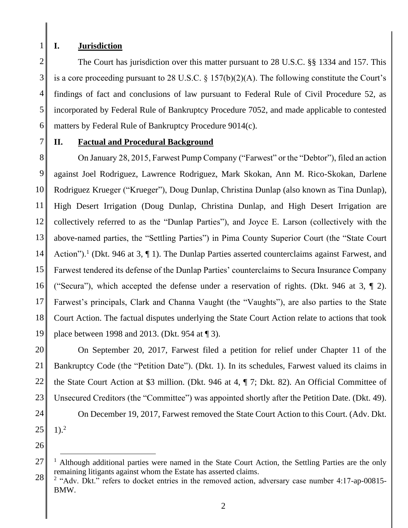1

7

# **I. Jurisdiction**

2 3 4 5 6 The Court has jurisdiction over this matter pursuant to 28 U.S.C. §§ 1334 and 157. This is a core proceeding pursuant to 28 U.S.C.  $\S 157(b)(2)(A)$ . The following constitute the Court's findings of fact and conclusions of law pursuant to Federal Rule of Civil Procedure 52, as incorporated by Federal Rule of Bankruptcy Procedure 7052, and made applicable to contested matters by Federal Rule of Bankruptcy Procedure 9014(c).

## **II. Factual and Procedural Background**

8 9 10 11 12 13 14 15 16 17 18 19 On January 28, 2015, Farwest Pump Company ("Farwest" or the "Debtor"), filed an action against Joel Rodriguez, Lawrence Rodriguez, Mark Skokan, Ann M. Rico-Skokan, Darlene Rodriguez Krueger ("Krueger"), Doug Dunlap, Christina Dunlap (also known as Tina Dunlap), High Desert Irrigation (Doug Dunlap, Christina Dunlap, and High Desert Irrigation are collectively referred to as the "Dunlap Parties"), and Joyce E. Larson (collectively with the above-named parties, the "Settling Parties") in Pima County Superior Court (the "State Court Action").<sup>1</sup> (Dkt. 946 at 3,  $\P$  1). The Dunlap Parties asserted counterclaims against Farwest, and Farwest tendered its defense of the Dunlap Parties' counterclaims to Secura Insurance Company ("Secura"), which accepted the defense under a reservation of rights. (Dkt. 946 at 3, ¶ 2). Farwest's principals, Clark and Channa Vaught (the "Vaughts"), are also parties to the State Court Action. The factual disputes underlying the State Court Action relate to actions that took place between 1998 and 2013. (Dkt. 954 at ¶ 3).

20 21 22 23 24 25 On September 20, 2017, Farwest filed a petition for relief under Chapter 11 of the Bankruptcy Code (the "Petition Date"). (Dkt. 1). In its schedules, Farwest valued its claims in the State Court Action at \$3 million. (Dkt. 946 at 4, ¶ 7; Dkt. 82). An Official Committee of Unsecured Creditors (the "Committee") was appointed shortly after the Petition Date. (Dkt. 49). On December 19, 2017, Farwest removed the State Court Action to this Court. (Adv. Dkt.  $1)$ .<sup>2</sup>

<sup>27</sup> 28 <sup>1</sup> Although additional parties were named in the State Court Action, the Settling Parties are the only remaining litigants against whom the Estate has asserted claims.

 $2$  "Adv. Dkt." refers to docket entries in the removed action, adversary case number 4:17-ap-00815-BMW.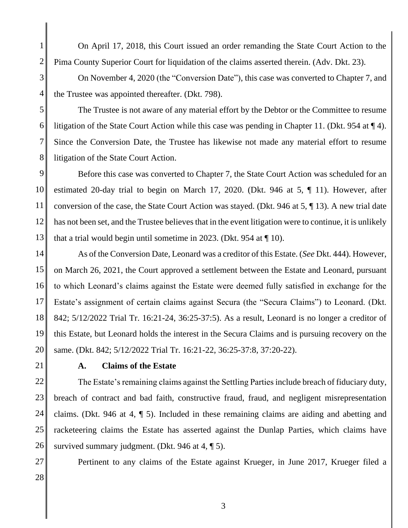On April 17, 2018, this Court issued an order remanding the State Court Action to the Pima County Superior Court for liquidation of the claims asserted therein. (Adv. Dkt. 23).

3 4 On November 4, 2020 (the "Conversion Date"), this case was converted to Chapter 7, and the Trustee was appointed thereafter. (Dkt. 798).

5

6

7

8

1

2

The Trustee is not aware of any material effort by the Debtor or the Committee to resume litigation of the State Court Action while this case was pending in Chapter 11. (Dkt. 954 at ¶ 4). Since the Conversion Date, the Trustee has likewise not made any material effort to resume litigation of the State Court Action.

9 10 11 12 13 Before this case was converted to Chapter 7, the State Court Action was scheduled for an estimated 20-day trial to begin on March 17, 2020. (Dkt. 946 at 5, ¶ 11). However, after conversion of the case, the State Court Action was stayed. (Dkt. 946 at 5, ¶ 13). A new trial date has not been set, and the Trustee believes that in the event litigation were to continue, it is unlikely that a trial would begin until sometime in 2023. (Dkt. 954 at ¶ 10).

14 15 16 17 18 19 20 As of the Conversion Date, Leonard was a creditor of this Estate. (*See* Dkt. 444). However, on March 26, 2021, the Court approved a settlement between the Estate and Leonard, pursuant to which Leonard's claims against the Estate were deemed fully satisfied in exchange for the Estate's assignment of certain claims against Secura (the "Secura Claims") to Leonard. (Dkt. 842; 5/12/2022 Trial Tr. 16:21-24, 36:25-37:5). As a result, Leonard is no longer a creditor of this Estate, but Leonard holds the interest in the Secura Claims and is pursuing recovery on the same. (Dkt. 842; 5/12/2022 Trial Tr. 16:21-22, 36:25-37:8, 37:20-22).

21

## **A. Claims of the Estate**

22 23 24 25 26 The Estate's remaining claims against the Settling Parties include breach of fiduciary duty, breach of contract and bad faith, constructive fraud, fraud, and negligent misrepresentation claims. (Dkt. 946 at 4, ¶ 5). Included in these remaining claims are aiding and abetting and racketeering claims the Estate has asserted against the Dunlap Parties, which claims have survived summary judgment. (Dkt. 946 at 4, 15).

28

27

Pertinent to any claims of the Estate against Krueger, in June 2017, Krueger filed a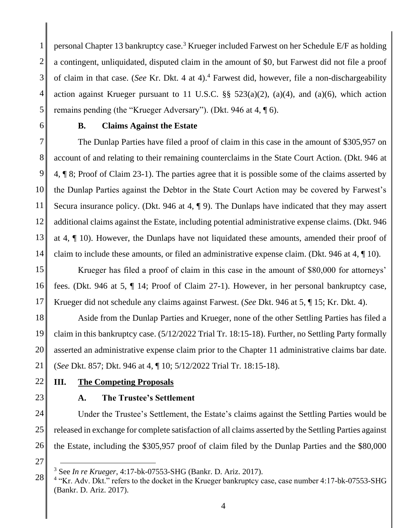1 2 3 4 5 personal Chapter 13 bankruptcy case.<sup>3</sup> Krueger included Farwest on her Schedule E/F as holding a contingent, unliquidated, disputed claim in the amount of \$0, but Farwest did not file a proof of claim in that case. (*See* Kr. Dkt. 4 at 4).<sup>4</sup> Farwest did, however, file a non-dischargeability action against Krueger pursuant to 11 U.S.C.  $\S\S$  523(a)(2), (a)(4), and (a)(6), which action remains pending (the "Krueger Adversary"). (Dkt. 946 at 4, ¶ 6).

6

## **B. Claims Against the Estate**

7 8 9 10 11 12 13 14 The Dunlap Parties have filed a proof of claim in this case in the amount of \$305,957 on account of and relating to their remaining counterclaims in the State Court Action. (Dkt. 946 at 4, ¶ 8; Proof of Claim 23-1). The parties agree that it is possible some of the claims asserted by the Dunlap Parties against the Debtor in the State Court Action may be covered by Farwest's Secura insurance policy. (Dkt. 946 at 4, ¶ 9). The Dunlaps have indicated that they may assert additional claims against the Estate, including potential administrative expense claims. (Dkt. 946 at 4, ¶ 10). However, the Dunlaps have not liquidated these amounts, amended their proof of claim to include these amounts, or filed an administrative expense claim. (Dkt. 946 at 4, ¶ 10).

15 16 17 Krueger has filed a proof of claim in this case in the amount of \$80,000 for attorneys' fees. (Dkt. 946 at 5, ¶ 14; Proof of Claim 27-1). However, in her personal bankruptcy case, Krueger did not schedule any claims against Farwest. (*See* Dkt. 946 at 5, ¶ 15; Kr. Dkt. 4).

18 19 20 21 Aside from the Dunlap Parties and Krueger, none of the other Settling Parties has filed a claim in this bankruptcy case. (5/12/2022 Trial Tr. 18:15-18). Further, no Settling Party formally asserted an administrative expense claim prior to the Chapter 11 administrative claims bar date. (*See* Dkt. 857; Dkt. 946 at 4, ¶ 10; 5/12/2022 Trial Tr. 18:15-18).

22

## **III. The Competing Proposals**

23

#### **A. The Trustee's Settlement**

24 25 26 Under the Trustee's Settlement, the Estate's claims against the Settling Parties would be released in exchange for complete satisfaction of all claims asserted by the Settling Parties against the Estate, including the \$305,957 proof of claim filed by the Dunlap Parties and the \$80,000

<sup>3</sup> See *In re Krueger*, 4:17-bk-07553-SHG (Bankr. D. Ariz. 2017).

<sup>28</sup> <sup>4</sup> "Kr. Adv. Dkt." refers to the docket in the Krueger bankruptcy case, case number 4:17-bk-07553-SHG (Bankr. D. Ariz. 2017).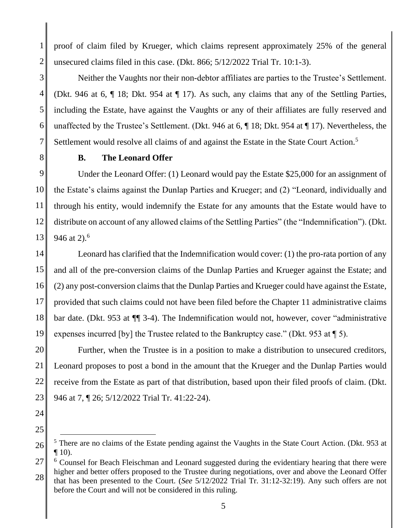proof of claim filed by Krueger, which claims represent approximately 25% of the general unsecured claims filed in this case. (Dkt. 866; 5/12/2022 Trial Tr. 10:1-3).

3 4 5 6 Neither the Vaughts nor their non-debtor affiliates are parties to the Trustee's Settlement. (Dkt. 946 at 6, ¶ 18; Dkt. 954 at ¶ 17). As such, any claims that any of the Settling Parties, including the Estate, have against the Vaughts or any of their affiliates are fully reserved and unaffected by the Trustee's Settlement. (Dkt. 946 at 6, ¶ 18; Dkt. 954 at ¶ 17). Nevertheless, the Settlement would resolve all claims of and against the Estate in the State Court Action.<sup>5</sup>

7 8

1

2

# **B. The Leonard Offer**

9 10 11 12 13 Under the Leonard Offer: (1) Leonard would pay the Estate \$25,000 for an assignment of the Estate's claims against the Dunlap Parties and Krueger; and (2) "Leonard, individually and through his entity, would indemnify the Estate for any amounts that the Estate would have to distribute on account of any allowed claims of the Settling Parties" (the "Indemnification"). (Dkt. 946 at 2).<sup>6</sup>

14 15 16 17 18 19 Leonard has clarified that the Indemnification would cover: (1) the pro-rata portion of any and all of the pre-conversion claims of the Dunlap Parties and Krueger against the Estate; and (2) any post-conversion claims that the Dunlap Parties and Krueger could have against the Estate, provided that such claims could not have been filed before the Chapter 11 administrative claims bar date. (Dkt. 953 at ¶¶ 3-4). The Indemnification would not, however, cover "administrative expenses incurred [by] the Trustee related to the Bankruptcy case." (Dkt. 953 at ¶ 5).

20 21 22 23 Further, when the Trustee is in a position to make a distribution to unsecured creditors, Leonard proposes to post a bond in the amount that the Krueger and the Dunlap Parties would receive from the Estate as part of that distribution, based upon their filed proofs of claim. (Dkt. 946 at 7, ¶ 26; 5/12/2022 Trial Tr. 41:22-24).

- 24
- 25

<sup>26</sup>  $<sup>5</sup>$  There are no claims of the Estate pending against the Vaughts in the State Court Action. (Dkt. 953 at</sup>  $\P$  10).

<sup>27</sup> <sup>6</sup> Counsel for Beach Fleischman and Leonard suggested during the evidentiary hearing that there were higher and better offers proposed to the Trustee during negotiations, over and above the Leonard Offer

<sup>28</sup> that has been presented to the Court. (*See* 5/12/2022 Trial Tr. 31:12-32:19). Any such offers are not before the Court and will not be considered in this ruling.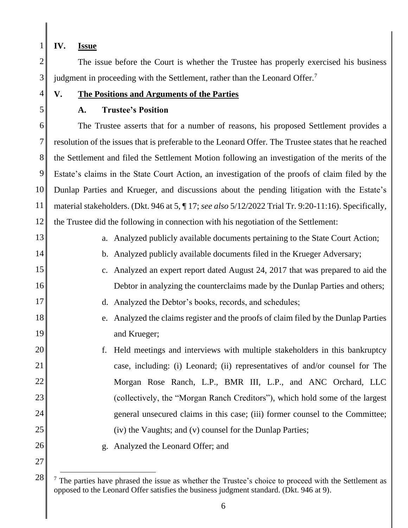1 **IV. Issue**

2 3 The issue before the Court is whether the Trustee has properly exercised his business judgment in proceeding with the Settlement, rather than the Leonard Offer.<sup>7</sup>

- **V. The Positions and Arguments of the Parties**
- 5

14

17

19

4

# **A. Trustee's Position**

6 7 8 9 10 11 12 The Trustee asserts that for a number of reasons, his proposed Settlement provides a resolution of the issues that is preferable to the Leonard Offer. The Trustee states that he reached the Settlement and filed the Settlement Motion following an investigation of the merits of the Estate's claims in the State Court Action, an investigation of the proofs of claim filed by the Dunlap Parties and Krueger, and discussions about the pending litigation with the Estate's material stakeholders. (Dkt. 946 at 5, ¶ 17; *see also* 5/12/2022 Trial Tr. 9:20-11:16). Specifically, the Trustee did the following in connection with his negotiation of the Settlement:

- 13 a. Analyzed publicly available documents pertaining to the State Court Action;
	- b. Analyzed publicly available documents filed in the Krueger Adversary;
- 15 16 c. Analyzed an expert report dated August 24, 2017 that was prepared to aid the Debtor in analyzing the counterclaims made by the Dunlap Parties and others;
	- d. Analyzed the Debtor's books, records, and schedules;
- 18 e. Analyzed the claims register and the proofs of claim filed by the Dunlap Parties and Krueger;
- 20 21 22 23 24 25 f. Held meetings and interviews with multiple stakeholders in this bankruptcy case, including: (i) Leonard; (ii) representatives of and/or counsel for The Morgan Rose Ranch, L.P., BMR III, L.P., and ANC Orchard, LLC (collectively, the "Morgan Ranch Creditors"), which hold some of the largest general unsecured claims in this case; (iii) former counsel to the Committee; (iv) the Vaughts; and (v) counsel for the Dunlap Parties;
- 26

27

g. Analyzed the Leonard Offer; and

<sup>28</sup>  $<sup>7</sup>$  The parties have phrased the issue as whether the Trustee's choice to proceed with the Settlement as</sup> opposed to the Leonard Offer satisfies the business judgment standard. (Dkt. 946 at 9).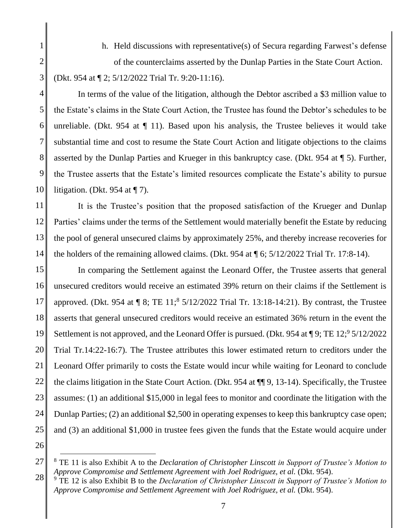2

3

5

7

8

9

1

h. Held discussions with representative(s) of Secura regarding Farwest's defense of the counterclaims asserted by the Dunlap Parties in the State Court Action. (Dkt. 954 at ¶ 2; 5/12/2022 Trial Tr. 9:20-11:16).

4 6 10 In terms of the value of the litigation, although the Debtor ascribed a \$3 million value to the Estate's claims in the State Court Action, the Trustee has found the Debtor's schedules to be unreliable. (Dkt. 954 at  $\P$  11). Based upon his analysis, the Trustee believes it would take substantial time and cost to resume the State Court Action and litigate objections to the claims asserted by the Dunlap Parties and Krueger in this bankruptcy case. (Dkt. 954 at ¶ 5). Further, the Trustee asserts that the Estate's limited resources complicate the Estate's ability to pursue litigation. (Dkt. 954 at  $\P$  7).

11 12 13 14 It is the Trustee's position that the proposed satisfaction of the Krueger and Dunlap Parties' claims under the terms of the Settlement would materially benefit the Estate by reducing the pool of general unsecured claims by approximately 25%, and thereby increase recoveries for the holders of the remaining allowed claims. (Dkt. 954 at ¶ 6; 5/12/2022 Trial Tr. 17:8-14).

15 16 17 18 19 20 21 22 23 24 25 In comparing the Settlement against the Leonard Offer, the Trustee asserts that general unsecured creditors would receive an estimated 39% return on their claims if the Settlement is approved. (Dkt. 954 at  $\P 8$ ; TE 11;<sup>8</sup> 5/12/2022 Trial Tr. 13:18-14:21). By contrast, the Trustee asserts that general unsecured creditors would receive an estimated 36% return in the event the Settlement is not approved, and the Leonard Offer is pursued. (Dkt. 954 at ¶ 9; TE 12; 95/12/2022 Trial Tr.14:22-16:7). The Trustee attributes this lower estimated return to creditors under the Leonard Offer primarily to costs the Estate would incur while waiting for Leonard to conclude the claims litigation in the State Court Action. (Dkt. 954 at ¶¶ 9, 13-14). Specifically, the Trustee assumes: (1) an additional \$15,000 in legal fees to monitor and coordinate the litigation with the Dunlap Parties; (2) an additional \$2,500 in operating expenses to keep this bankruptcy case open; and (3) an additional \$1,000 in trustee fees given the funds that the Estate would acquire under

<sup>27</sup> <sup>8</sup> TE 11 is also Exhibit A to the *Declaration of Christopher Linscott in Support of Trustee's Motion to*  Approve Compromise and Settlement Agreement with Joel Rodriguez, et al. (Dkt. 954).

<sup>28</sup> <sup>9</sup> TE 12 is also Exhibit B to the *Declaration of Christopher Linscott in Support of Trustee's Motion to*  Approve Compromise and Settlement Agreement with Joel Rodriguez, et al. (Dkt. 954).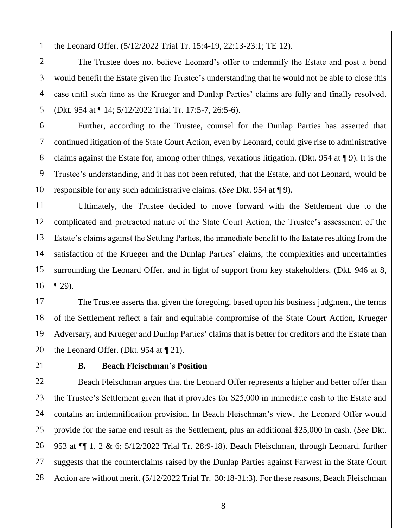the Leonard Offer. (5/12/2022 Trial Tr. 15:4-19, 22:13-23:1; TE 12).

2 3 The Trustee does not believe Leonard's offer to indemnify the Estate and post a bond would benefit the Estate given the Trustee's understanding that he would not be able to close this case until such time as the Krueger and Dunlap Parties' claims are fully and finally resolved. (Dkt. 954 at ¶ 14; 5/12/2022 Trial Tr. 17:5-7, 26:5-6).

6 7 8 9 10 Further, according to the Trustee, counsel for the Dunlap Parties has asserted that continued litigation of the State Court Action, even by Leonard, could give rise to administrative claims against the Estate for, among other things, vexatious litigation. (Dkt. 954 at ¶ 9). It is the Trustee's understanding, and it has not been refuted, that the Estate, and not Leonard, would be responsible for any such administrative claims. (*See* Dkt. 954 at ¶ 9).

11 12 13 14 15 16 Ultimately, the Trustee decided to move forward with the Settlement due to the complicated and protracted nature of the State Court Action, the Trustee's assessment of the Estate's claims against the Settling Parties, the immediate benefit to the Estate resulting from the satisfaction of the Krueger and the Dunlap Parties' claims, the complexities and uncertainties surrounding the Leonard Offer, and in light of support from key stakeholders. (Dkt. 946 at 8, ¶ 29).

17 18 19 20 The Trustee asserts that given the foregoing, based upon his business judgment, the terms of the Settlement reflect a fair and equitable compromise of the State Court Action, Krueger Adversary, and Krueger and Dunlap Parties' claims that is better for creditors and the Estate than the Leonard Offer. (Dkt. 954 at ¶ 21).

21

1

4

5

## **B. Beach Fleischman's Position**

22 23 24 25 26 27 28 Beach Fleischman argues that the Leonard Offer represents a higher and better offer than the Trustee's Settlement given that it provides for \$25,000 in immediate cash to the Estate and contains an indemnification provision. In Beach Fleischman's view, the Leonard Offer would provide for the same end result as the Settlement, plus an additional \$25,000 in cash. (*See* Dkt. 953 at ¶¶ 1, 2 & 6; 5/12/2022 Trial Tr. 28:9-18). Beach Fleischman, through Leonard, further suggests that the counterclaims raised by the Dunlap Parties against Farwest in the State Court Action are without merit. (5/12/2022 Trial Tr. 30:18-31:3). For these reasons, Beach Fleischman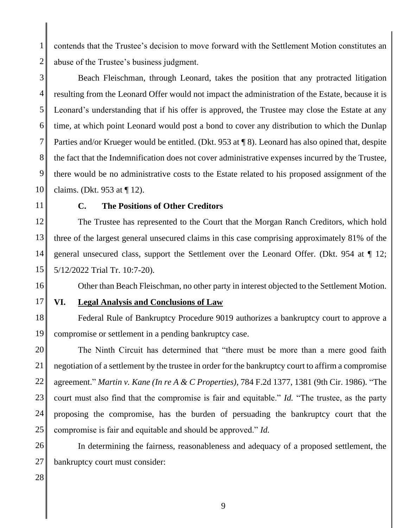2 contends that the Trustee's decision to move forward with the Settlement Motion constitutes an abuse of the Trustee's business judgment.

3 4 5 6 7 8 9 10 Beach Fleischman, through Leonard, takes the position that any protracted litigation resulting from the Leonard Offer would not impact the administration of the Estate, because it is Leonard's understanding that if his offer is approved, the Trustee may close the Estate at any time, at which point Leonard would post a bond to cover any distribution to which the Dunlap Parties and/or Krueger would be entitled. (Dkt. 953 at ¶ 8). Leonard has also opined that, despite the fact that the Indemnification does not cover administrative expenses incurred by the Trustee, there would be no administrative costs to the Estate related to his proposed assignment of the claims. (Dkt. 953 at ¶ 12).

11

1

#### **C. The Positions of Other Creditors**

12 13 14 15 The Trustee has represented to the Court that the Morgan Ranch Creditors, which hold three of the largest general unsecured claims in this case comprising approximately 81% of the general unsecured class, support the Settlement over the Leonard Offer. (Dkt. 954 at ¶ 12; 5/12/2022 Trial Tr. 10:7-20).

16

17

## **VI. Legal Analysis and Conclusions of Law**

18 19 Federal Rule of Bankruptcy Procedure 9019 authorizes a bankruptcy court to approve a compromise or settlement in a pending bankruptcy case.

Other than Beach Fleischman, no other party in interest objected to the Settlement Motion.

20 21 22 23 24 25 The Ninth Circuit has determined that "there must be more than a mere good faith negotiation of a settlement by the trustee in order for the bankruptcy court to affirm a compromise agreement." *Martin v. Kane (In re A & C Properties)*, 784 F.2d 1377, 1381 (9th Cir. 1986). "The court must also find that the compromise is fair and equitable." *Id.* "The trustee, as the party proposing the compromise, has the burden of persuading the bankruptcy court that the compromise is fair and equitable and should be approved." *Id.* 

26 27 In determining the fairness, reasonableness and adequacy of a proposed settlement, the bankruptcy court must consider: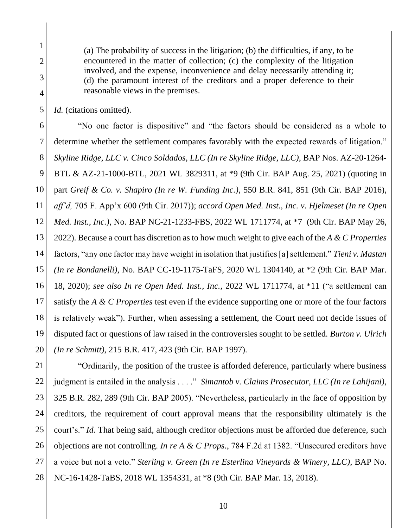(a) The probability of success in the litigation; (b) the difficulties, if any, to be encountered in the matter of collection; (c) the complexity of the litigation involved, and the expense, inconvenience and delay necessarily attending it; (d) the paramount interest of the creditors and a proper deference to their reasonable views in the premises.

5 *Id.* (citations omitted).

1

2

3

4

6 7 8 9 10 11 12 13 14 15 16 17 18 19 20 "No one factor is dispositive" and "the factors should be considered as a whole to determine whether the settlement compares favorably with the expected rewards of litigation." *Skyline Ridge, LLC v. Cinco Soldados, LLC (In re Skyline Ridge, LLC)*, BAP Nos. AZ-20-1264- BTL & AZ-21-1000-BTL, 2021 WL 3829311, at \*9 (9th Cir. BAP Aug. 25, 2021) (quoting in part *Greif & Co. v. Shapiro (In re W. Funding Inc.)*, 550 B.R. 841, 851 (9th Cir. BAP 2016), *aff'd,* 705 F. App'x 600 (9th Cir. 2017)); *accord Open Med. Inst., Inc. v. Hjelmeset (In re Open Med. Inst., Inc.)*, No. BAP NC-21-1233-FBS, 2022 WL 1711774, at \*7 (9th Cir. BAP May 26, 2022). Because a court has discretion as to how much weight to give each of the *A & C Properties*  factors, "any one factor may have weight in isolation that justifies [a] settlement." *Tieni v. Mastan (In re Bondanelli)*, No. BAP CC-19-1175-TaFS, 2020 WL 1304140, at \*2 (9th Cir. BAP Mar. 18, 2020); *see also In re Open Med. Inst., Inc.,* 2022 WL 1711774, at \*11 ("a settlement can satisfy the *A & C Properties* test even if the evidence supporting one or more of the four factors is relatively weak"). Further, when assessing a settlement, the Court need not decide issues of disputed fact or questions of law raised in the controversies sought to be settled. *Burton v. Ulrich (In re Schmitt)*, 215 B.R. 417, 423 (9th Cir. BAP 1997).

21 22 23 24 25 26 27 28 "Ordinarily, the position of the trustee is afforded deference, particularly where business judgment is entailed in the analysis . . . ." *Simantob v. Claims Prosecutor, LLC (In re Lahijani)*, 325 B.R. 282, 289 (9th Cir. BAP 2005). "Nevertheless, particularly in the face of opposition by creditors, the requirement of court approval means that the responsibility ultimately is the court's." *Id.* That being said, although creditor objections must be afforded due deference, such objections are not controlling. *In re A & C Props.*, 784 F.2d at 1382. "Unsecured creditors have a voice but not a veto." *Sterling v. Green (In re Esterlina Vineyards & Winery, LLC)*, BAP No. NC-16-1428-TaBS, 2018 WL 1354331, at \*8 (9th Cir. BAP Mar. 13, 2018).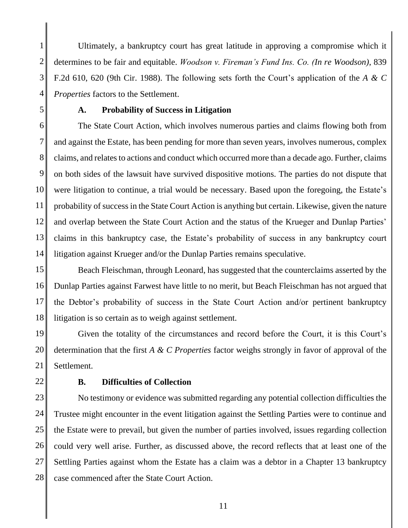1 2 3 4 Ultimately, a bankruptcy court has great latitude in approving a compromise which it determines to be fair and equitable. *Woodson v. Fireman's Fund Ins. Co. (In re Woodson)*, 839 F.2d 610, 620 (9th Cir. 1988). The following sets forth the Court's application of the *A & C Properties* factors to the Settlement.

5

## **A. Probability of Success in Litigation**

6 7 8 9 10 11 12 13 14 The State Court Action, which involves numerous parties and claims flowing both from and against the Estate, has been pending for more than seven years, involves numerous, complex claims, and relates to actions and conduct which occurred more than a decade ago. Further, claims on both sides of the lawsuit have survived dispositive motions. The parties do not dispute that were litigation to continue, a trial would be necessary. Based upon the foregoing, the Estate's probability of success in the State Court Action is anything but certain. Likewise, given the nature and overlap between the State Court Action and the status of the Krueger and Dunlap Parties' claims in this bankruptcy case, the Estate's probability of success in any bankruptcy court litigation against Krueger and/or the Dunlap Parties remains speculative.

15 16 17 18 Beach Fleischman, through Leonard, has suggested that the counterclaims asserted by the Dunlap Parties against Farwest have little to no merit, but Beach Fleischman has not argued that the Debtor's probability of success in the State Court Action and/or pertinent bankruptcy litigation is so certain as to weigh against settlement.

19 20 21 Given the totality of the circumstances and record before the Court, it is this Court's determination that the first *A & C Properties* factor weighs strongly in favor of approval of the Settlement.

22

#### **B. Difficulties of Collection**

23 24 25 26 27 28 No testimony or evidence was submitted regarding any potential collection difficulties the Trustee might encounter in the event litigation against the Settling Parties were to continue and the Estate were to prevail, but given the number of parties involved, issues regarding collection could very well arise. Further, as discussed above, the record reflects that at least one of the Settling Parties against whom the Estate has a claim was a debtor in a Chapter 13 bankruptcy case commenced after the State Court Action.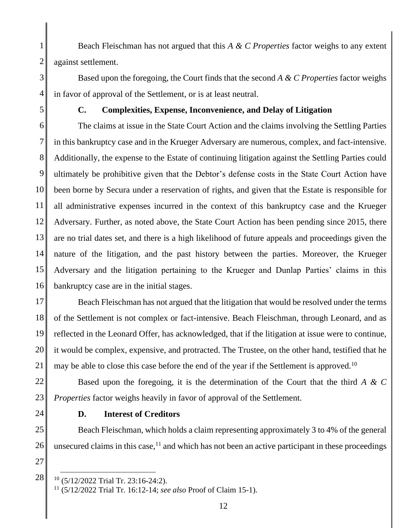1 2 Beach Fleischman has not argued that this *A & C Properties* factor weighs to any extent against settlement.

Based upon the foregoing, the Court finds that the second *A & C Properties* factor weighs in favor of approval of the Settlement, or is at least neutral.

5

3

4

# **C. Complexities, Expense, Inconvenience, and Delay of Litigation**

6 7 8 9 10 11 12 13 14 15 16 The claims at issue in the State Court Action and the claims involving the Settling Parties in this bankruptcy case and in the Krueger Adversary are numerous, complex, and fact-intensive. Additionally, the expense to the Estate of continuing litigation against the Settling Parties could ultimately be prohibitive given that the Debtor's defense costs in the State Court Action have been borne by Secura under a reservation of rights, and given that the Estate is responsible for all administrative expenses incurred in the context of this bankruptcy case and the Krueger Adversary. Further, as noted above, the State Court Action has been pending since 2015, there are no trial dates set, and there is a high likelihood of future appeals and proceedings given the nature of the litigation, and the past history between the parties. Moreover, the Krueger Adversary and the litigation pertaining to the Krueger and Dunlap Parties' claims in this bankruptcy case are in the initial stages.

17 18 19 20 21 Beach Fleischman has not argued that the litigation that would be resolved under the terms of the Settlement is not complex or fact-intensive. Beach Fleischman, through Leonard, and as reflected in the Leonard Offer, has acknowledged, that if the litigation at issue were to continue, it would be complex, expensive, and protracted. The Trustee, on the other hand, testified that he may be able to close this case before the end of the year if the Settlement is approved.<sup>10</sup>

22 23 Based upon the foregoing, it is the determination of the Court that the third *A & C Properties* factor weighs heavily in favor of approval of the Settlement.

24

#### **D. Interest of Creditors**

25 26 Beach Fleischman, which holds a claim representing approximately 3 to 4% of the general unsecured claims in this case, $<sup>11</sup>$  and which has not been an active participant in these proceedings</sup>

27

 $10$  (5/12/2022 Trial Tr. 23:16-24:2).

<sup>11</sup> (5/12/2022 Trial Tr. 16:12-14; *see also* Proof of Claim 15-1).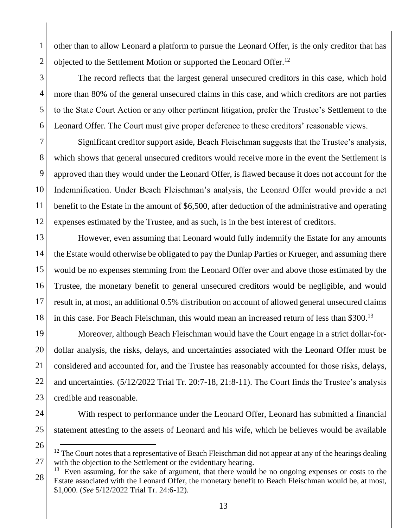2 other than to allow Leonard a platform to pursue the Leonard Offer, is the only creditor that has objected to the Settlement Motion or supported the Leonard Offer.<sup>12</sup>

3 4 6 The record reflects that the largest general unsecured creditors in this case, which hold more than 80% of the general unsecured claims in this case, and which creditors are not parties to the State Court Action or any other pertinent litigation, prefer the Trustee's Settlement to the Leonard Offer. The Court must give proper deference to these creditors' reasonable views.

7 8 9 10 11 12 Significant creditor support aside, Beach Fleischman suggests that the Trustee's analysis, which shows that general unsecured creditors would receive more in the event the Settlement is approved than they would under the Leonard Offer, is flawed because it does not account for the Indemnification. Under Beach Fleischman's analysis, the Leonard Offer would provide a net benefit to the Estate in the amount of \$6,500, after deduction of the administrative and operating expenses estimated by the Trustee, and as such, is in the best interest of creditors.

13 14 15 16 17 18 However, even assuming that Leonard would fully indemnify the Estate for any amounts the Estate would otherwise be obligated to pay the Dunlap Parties or Krueger, and assuming there would be no expenses stemming from the Leonard Offer over and above those estimated by the Trustee, the monetary benefit to general unsecured creditors would be negligible, and would result in, at most, an additional 0.5% distribution on account of allowed general unsecured claims in this case. For Beach Fleischman, this would mean an increased return of less than \$300.<sup>13</sup>

19 20 21 22 23 Moreover, although Beach Fleischman would have the Court engage in a strict dollar-fordollar analysis, the risks, delays, and uncertainties associated with the Leonard Offer must be considered and accounted for, and the Trustee has reasonably accounted for those risks, delays, and uncertainties. (5/12/2022 Trial Tr. 20:7-18, 21:8-11). The Court finds the Trustee's analysis credible and reasonable.

24

1

5

25

With respect to performance under the Leonard Offer, Leonard has submitted a financial statement attesting to the assets of Leonard and his wife, which he believes would be available

<sup>27</sup>  $12$  The Court notes that a representative of Beach Fleischman did not appear at any of the hearings dealing with the objection to the Settlement or the evidentiary hearing.

<sup>28</sup>  $13$  Even assuming, for the sake of argument, that there would be no ongoing expenses or costs to the Estate associated with the Leonard Offer, the monetary benefit to Beach Fleischman would be, at most, \$1,000. (*See* 5/12/2022 Trial Tr. 24:6-12).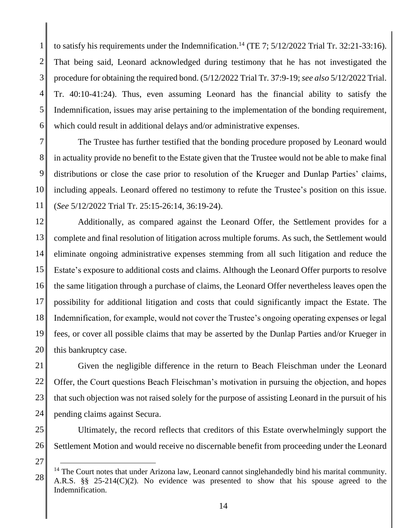1 2 3 4 5 6 to satisfy his requirements under the Indemnification.<sup>14</sup> (TE 7;  $5/12/2022$  Trial Tr. 32:21-33:16). That being said, Leonard acknowledged during testimony that he has not investigated the procedure for obtaining the required bond. (5/12/2022 Trial Tr. 37:9-19; *see also* 5/12/2022 Trial. Tr. 40:10-41:24). Thus, even assuming Leonard has the financial ability to satisfy the Indemnification, issues may arise pertaining to the implementation of the bonding requirement, which could result in additional delays and/or administrative expenses.

7 8 9 10 11 The Trustee has further testified that the bonding procedure proposed by Leonard would in actuality provide no benefit to the Estate given that the Trustee would not be able to make final distributions or close the case prior to resolution of the Krueger and Dunlap Parties' claims, including appeals. Leonard offered no testimony to refute the Trustee's position on this issue. (*See* 5/12/2022 Trial Tr. 25:15-26:14, 36:19-24).

12 13 14 15 16 17 18 19 20 Additionally, as compared against the Leonard Offer, the Settlement provides for a complete and final resolution of litigation across multiple forums. As such, the Settlement would eliminate ongoing administrative expenses stemming from all such litigation and reduce the Estate's exposure to additional costs and claims. Although the Leonard Offer purports to resolve the same litigation through a purchase of claims, the Leonard Offer nevertheless leaves open the possibility for additional litigation and costs that could significantly impact the Estate. The Indemnification, for example, would not cover the Trustee's ongoing operating expenses or legal fees, or cover all possible claims that may be asserted by the Dunlap Parties and/or Krueger in this bankruptcy case.

21 22 23 24 Given the negligible difference in the return to Beach Fleischman under the Leonard Offer, the Court questions Beach Fleischman's motivation in pursuing the objection, and hopes that such objection was not raised solely for the purpose of assisting Leonard in the pursuit of his pending claims against Secura.

25

Ultimately, the record reflects that creditors of this Estate overwhelmingly support the Settlement Motion and would receive no discernable benefit from proceeding under the Leonard

27

<sup>28</sup>  $14$  The Court notes that under Arizona law, Leonard cannot singlehandedly bind his marital community. A.R.S. §§ 25-214(C)(2). No evidence was presented to show that his spouse agreed to the Indemnification.